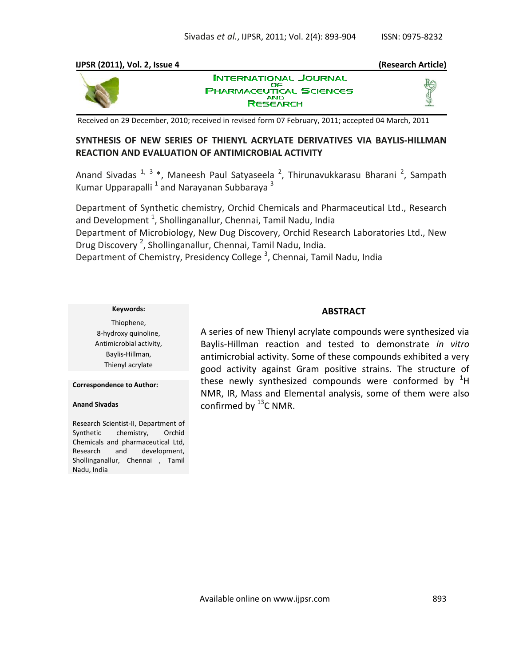#### **IJPSR (2011), Vol. 2, Issue 4 (Research Article)**



**INTERNATIONAL JOURNAL** OF **PHARMACEUTICAL SCIENCES RESEARCH** 

Received on 29 December, 2010; received in revised form 07 February, 2011; accepted 04 March, 2011

# **SYNTHESIS OF NEW SERIES OF THIENYL ACRYLATE DERIVATIVES VIA BAYLIS-HILLMAN REACTION AND EVALUATION OF ANTIMICROBIAL ACTIVITY**

Anand Sivadas <sup>1, 3</sup> \*, Maneesh Paul Satyaseela <sup>2</sup>, Thirunavukkarasu Bharani <sup>2</sup>, Sampath Kumar Upparapalli  $^1$  and Narayanan Subbaraya  $^3$ 

Department of Synthetic chemistry, Orchid Chemicals and Pharmaceutical Ltd., Research and Development  $^1$ , Shollinganallur, Chennai, Tamil Nadu, India Department of Microbiology, New Dug Discovery, Orchid Research Laboratories Ltd., New Drug Discovery<sup>2</sup>, Shollinganallur, Chennai, Tamil Nadu, India. Department of Chemistry, Presidency College<sup>3</sup>, Chennai, Tamil Nadu, India

#### **Keywords:**

Thiophene, 8-hydroxy quinoline, Antimicrobial activity, Baylis-Hillman, Thienyl acrylate

**Correspondence to Author:**

**Anand Sivadas**

Research Scientist-II, Department of Synthetic chemistry, Orchid Chemicals and pharmaceutical Ltd, Research and development, Shollinganallur, Chennai , Tamil Nadu, India

### **ABSTRACT**

A series of new Thienyl acrylate compounds were synthesized via Baylis-Hillman reaction and tested to demonstrate *in vitro*  antimicrobial activity. Some of these compounds exhibited a very good activity against Gram positive strains. The structure of these newly synthesized compounds were conformed by  $H$ NMR, IR, Mass and Elemental analysis, some of them were also confirmed by  $^{13}$ C NMR.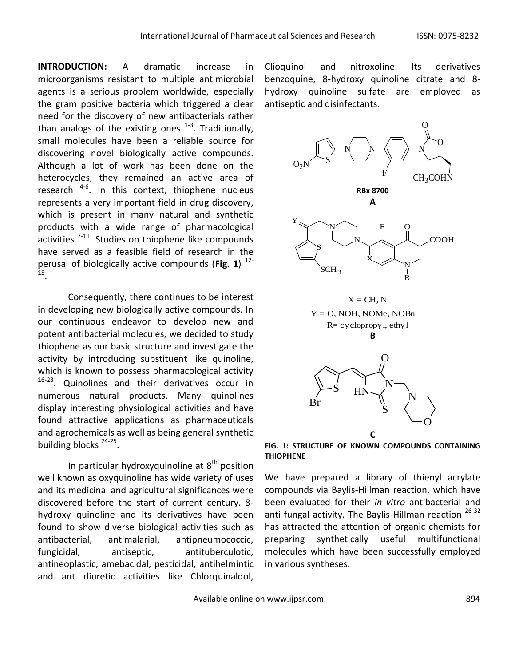**INTRODUCTION:** A dramatic increase in microorganisms resistant to multiple antimicrobial agents is a serious problem worldwide, especially the gram positive bacteria which triggered a clear need for the discovery of new antibacterials rather than analogs of the existing ones  $^{1-3}$ . Traditionally, small molecules have been a reliable source for discovering novel biologically active compounds. Although a lot of work has been done on the heterocycles, they remained an active area of research <sup>4-6</sup>. In this context, thiophene nucleus represents a very important field in drug discovery, which is present in many natural and synthetic products with a wide range of pharmacological activities <sup>7-11</sup>. Studies on thiophene like compounds have served as a feasible field of research in the perusal of biologically active compounds (**Fig. 1**) 12- 15 .

Consequently, there continues to be interest in developing new biologically active compounds. In our continuous endeavor to develop new and potent antibacterial molecules, we decided to study thiophene as our basic structure and investigate the activity by introducing substituent like quinoline, which is known to possess pharmacological activity <sup>16-23</sup>. Quinolines and their derivatives occur in numerous natural products. Many quinolines display interesting physiological activities and have found attractive applications as pharmaceuticals and agrochemicals as well as being general synthetic building blocks<sup>24-25</sup>.

In particular hydroxyquinoline at  $8<sup>th</sup>$  position well known as oxyquinoline has wide variety of uses and its medicinal and agricultural significances were discovered before the start of current century. 8 hydroxy quinoline and its derivatives have been found to show diverse biological activities such as antibacterial, antimalarial, antipneumococcic, fungicidal, antiseptic, antituberculotic, antineoplastic, amebacidal, pesticidal, antihelmintic and ant diuretic activities like Chlorquinaldol,

Clioquinol and nitroxoline. Its derivatives benzoquine, 8-hydroxy quinoline citrate and 8 hydroxy quinoline sulfate are employed as antiseptic and disinfectants.



**FIG. 1: STRUCTURE OF KNOWN COMPOUNDS CONTAINING THIOPHENE**

We have prepared a library of thienyl acrylate compounds via Baylis-Hillman reaction, which have been evaluated for their *in vitro* antibacterial and anti fungal activity. The Baylis-Hillman reaction <sup>26-32</sup> has attracted the attention of organic chemists for preparing synthetically useful multifunctional molecules which have been successfully employed in various syntheses.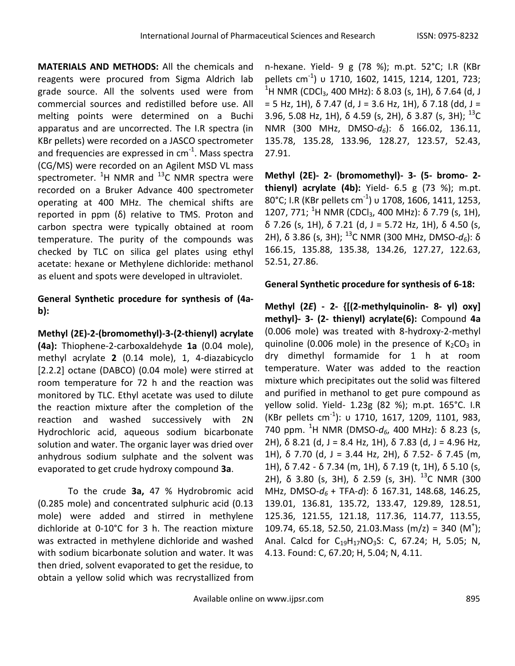**MATERIALS AND METHODS:** All the chemicals and reagents were procured from Sigma Aldrich lab grade source. All the solvents used were from commercial sources and redistilled before use. All melting points were determined on a Buchi apparatus and are uncorrected. The I.R spectra (in KBr pellets) were recorded on a JASCO spectrometer and frequencies are expressed in cm<sup>-1</sup>. Mass spectra (CG/MS) were recorded on an Agilent MSD VL mass spectrometer.  ${}^{1}$ H NMR and  ${}^{13}$ C NMR spectra were recorded on a Bruker Advance 400 spectrometer operating at 400 MHz. The chemical shifts are reported in ppm (δ) relative to TMS. Proton and carbon spectra were typically obtained at room temperature. The purity of the compounds was checked by TLC on silica gel plates using ethyl acetate: hexane or Methylene dichloride: methanol as eluent and spots were developed in ultraviolet.

# **General Synthetic procedure for synthesis of (4ab):**

**Methyl (2E)-2-(bromomethyl)-3-(2-thienyl) acrylate (4a):** Thiophene-2-carboxaldehyde **1a** (0.04 mole), methyl acrylate **2** (0.14 mole), 1, 4-diazabicyclo [2.2.2] octane (DABCO) (0.04 mole) were stirred at room temperature for 72 h and the reaction was monitored by TLC. Ethyl acetate was used to dilute the reaction mixture after the completion of the reaction and washed successively with 2N Hydrochloric acid, aqueous sodium bicarbonate solution and water. The organic layer was dried over anhydrous sodium sulphate and the solvent was evaporated to get crude hydroxy compound **3a**.

To the crude **3a,** 47 % Hydrobromic acid (0.285 mole) and concentrated sulphuric acid (0.13 mole) were added and stirred in methylene dichloride at 0-10°C for 3 h. The reaction mixture was extracted in methylene dichloride and washed with sodium bicarbonate solution and water. It was then dried, solvent evaporated to get the residue, to obtain a yellow solid which was recrystallized from

n-hexane. Yield- 9 g (78 %); m.pt. 52°C; I.R (KBr pellets cm-1 ) υ 1710, 1602, 1415, 1214, 1201, 723;  $^{\rm 1}$ H NMR (CDCl $_{\rm 3}$ , 400 MHz): δ 8.03 (s, 1H), δ 7.64 (d, J  $= 5$  Hz, 1H), δ 7.47 (d, J = 3.6 Hz, 1H), δ 7.18 (dd, J = 3.96, 5.08 Hz, 1H),  $\delta$  4.59 (s, 2H),  $\delta$  3.87 (s, 3H);  $^{13}$ C NMR (300 MHz, DMSO-*d6*): δ 166.02, 136.11, 135.78, 135.28, 133.96, 128.27, 123.57, 52.43, 27.91.

**Methyl (2E)- 2- (bromomethyl)- 3- (5- bromo- 2 thienyl) acrylate (4b):** Yield- 6.5 g (73 %); m.pt. 80°C; I.R (KBr pellets cm $^{-1}$ ) υ 1708, 1606, 1411, 1253, 1207, 771; <sup>1</sup>H NMR (CDCl<sub>3</sub>, 400 MHz):  $\delta$  7.79 (s, 1H), δ 7.26 (s, 1H), δ 7.21 (d, J = 5.72 Hz, 1H), δ 4.50 (s, 2H), δ 3.86 (s, 3H); <sup>13</sup>C NMR (300 MHz, DMSO-*d6*): δ 166.15, 135.88, 135.38, 134.26, 127.27, 122.63, 52.51, 27.86.

### **General Synthetic procedure for synthesis of 6-18:**

**Methyl (2***E***) - 2- {[(2-methylquinolin- 8- yl) oxy] methyl}- 3- (2- thienyl) acrylate(6):** Compound **4a** (0.006 mole) was treated with 8-hydroxy-2-methyl quinoline (0.006 mole) in the presence of  $K_2CO_3$  in dry dimethyl formamide for 1 h at room temperature. Water was added to the reaction mixture which precipitates out the solid was filtered and purified in methanol to get pure compound as yellow solid. Yield- 1.23g (82 %); m.pt. 165°C. I.R (KBr pellets cm-1 ): υ 1710, 1617, 1209, 1101, 983, 740 ppm. <sup>1</sup>H NMR (DMSO- $d_6$ , 400 MHz): δ 8.23 (s, 2H),  $\delta$  8.21 (d, J = 8.4 Hz, 1H),  $\delta$  7.83 (d, J = 4.96 Hz, 1H), δ 7.70 (d, J = 3.44 Hz, 2H), δ 7.52- δ 7.45 (m, 1H), δ 7.42 - δ 7.34 (m, 1H), δ 7.19 (t, 1H), δ 5.10 (s, 2H),  $\delta$  3.80 (s, 3H),  $\delta$  2.59 (s, 3H). <sup>13</sup>C NMR (300 MHz, DMSO-*d6* + TFA-*d*): δ 167.31, 148.68, 146.25, 139.01, 136.81, 135.72, 133.47, 129.89, 128.51, 125.36, 121.55, 121.18, 117.36, 114.77, 113.55, 109.74, 65.18, 52.50, 21.03. Mass  $(m/z) = 340 (M^{\dagger})$ ; Anal. Calcd for  $C_{19}H_{17}NO_3S$ : C, 67.24; H, 5.05; N, 4.13. Found: C, 67.20; H, 5.04; N, 4.11.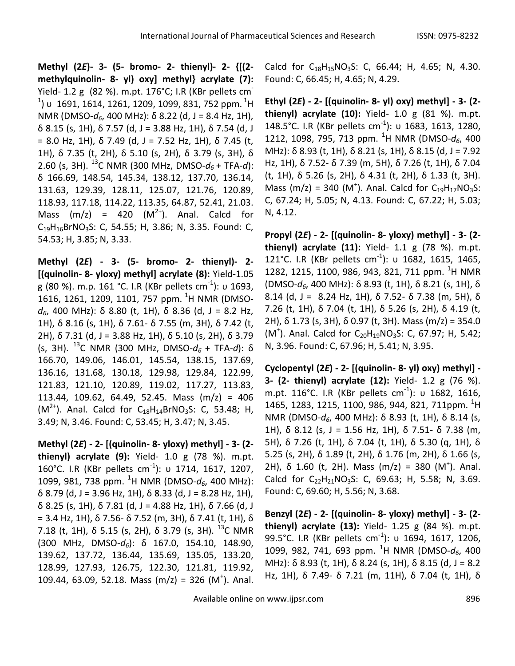**Methyl (2***E***)- 3- (5- bromo- 2- thienyl)- 2- {[(2 methylquinolin- 8- yl) oxy] methyl} acrylate (7):**  Yield- 1.2 g (82 %). m.pt. 176°C; I.R (KBr pellets cm- $^{\rm 1}$ ) υ 1691, 1614, 1261, 1209, 1099, 831, 752 ppm.  $^{\rm 1}$ H NMR (DMSO-*d6*, 400 MHz): δ 8.22 (d, J = 8.4 Hz, 1H), δ 8.15 (s, 1H), δ 7.57 (d, J = 3.88 Hz, 1H), δ 7.54 (d, J = 8.0 Hz, 1H),  $\delta$  7.49 (d, J = 7.52 Hz, 1H),  $\delta$  7.45 (t, 1H), δ 7.35 (t, 2H), δ 5.10 (s, 2H), δ 3.79 (s, 3H), δ 2.60 (s, 3H). <sup>13</sup>C NMR (300 MHz, DMSO- $d_6$  + TFA-*d*): δ 166.69, 148.54, 145.34, 138.12, 137.70, 136.14, 131.63, 129.39, 128.11, 125.07, 121.76, 120.89, 118.93, 117.18, 114.22, 113.35, 64.87, 52.41, 21.03. Mass  $(m/z) = 420 (M<sup>2+</sup>)$ . Anal. Calcd for  $C_{19}H_{16}BrNO_3S$ : C, 54.55; H, 3.86; N, 3.35. Found: C, 54.53; H, 3.85; N, 3.33.

**Methyl (2***E***) - 3- (5- bromo- 2- thienyl)- 2- [(quinolin- 8- yloxy) methyl] acrylate (8):** Yield**-**1.05 g (80 %). m.p. 161 °C. I.R (KBr pellets cm<sup>-1</sup>): υ 1693, 1616, 1261, 1209, 1101, 757 ppm. <sup>1</sup>H NMR (DMSO*d6*, 400 MHz): δ 8.80 (t, 1H), δ 8.36 (d, J = 8.2 Hz, 1H), δ 8.16 (s, 1H), δ 7.61- δ 7.55 (m, 3H), δ 7.42 (t, 2H), δ 7.31 (d, J = 3.88 Hz, 1H), δ 5.10 (s, 2H), δ 3.79 (s, 3H). <sup>13</sup>C NMR (300 MHz, DMSO-*d6* + TFA-*d*): δ 166.70, 149.06, 146.01, 145.54, 138.15, 137.69, 136.16, 131.68, 130.18, 129.98, 129.84, 122.99, 121.83, 121.10, 120.89, 119.02, 117.27, 113.83, 113.44, 109.62, 64.49, 52.45. Mass (m/z) = 406  $(M^{2+})$ . Anal. Calcd for C<sub>18</sub>H<sub>14</sub>BrNO<sub>3</sub>S: C, 53.48; H, 3.49; N, 3.46. Found: C, 53.45; H, 3.47; N, 3.45.

**Methyl (2***E***) - 2- [(quinolin- 8- yloxy) methyl] - 3- (2 thienyl) acrylate (9):** Yield- 1.0 g (78 %). m.pt. 160°C. I.R (KBr pellets cm<sup>-1</sup>): υ 1714, 1617, 1207, 1099, 981, 738 ppm. <sup>1</sup>H NMR (DMSO-*d6*, 400 MHz): δ 8.79 (d, J = 3.96 Hz, 1H), δ 8.33 (d, J = 8.28 Hz, 1H), δ 8.25 (s, 1H), δ 7.81 (d, J = 4.88 Hz, 1H), δ 7.66 (d, J = 3.4 Hz, 1H),  $\delta$  7.56-  $\delta$  7.52 (m, 3H),  $\delta$  7.41 (t, 1H),  $\delta$ 7.18 (t, 1H),  $\delta$  5.15 (s, 2H),  $\delta$  3.79 (s, 3H). <sup>13</sup>C NMR (300 MHz, DMSO-*d6*): δ 167.0, 154.10, 148.90, 139.62, 137.72, 136.44, 135.69, 135.05, 133.20, 128.99, 127.93, 126.75, 122.30, 121.81, 119.92, 109.44, 63.09, 52.18. Mass  $(m/z) = 326 (M<sup>+</sup>)$ . Anal. Calcd for  $C_{18}H_{15}NO_3S$ : C, 66.44; H, 4.65; N, 4.30. Found: C, 66.45; H, 4.65; N, 4.29.

**Ethyl (2***E***) - 2- [(quinolin- 8- yl) oxy) methyl] - 3- (2 thienyl) acrylate (10):** Yield- 1.0 g (81 %). m.pt. 148.5°C. I.R (KBr pellets cm<sup>-1</sup>): υ 1683, 1613, 1280, 1212, 1098, 795, 713 ppm. <sup>1</sup>H NMR (DMSO-*d6*, 400 MHz):  $\delta$  8.93 (t, 1H),  $\delta$  8.21 (s, 1H),  $\delta$  8.15 (d, J = 7.92 Hz, 1H), δ 7.52- δ 7.39 (m, 5H), δ 7.26 (t, 1H), δ 7.04 (t, 1H), δ 5.26 (s, 2H), δ 4.31 (t, 2H), δ 1.33 (t, 3H). Mass (m/z) = 340 (M<sup>+</sup>). Anal. Calcd for  $C_{19}H_{17}NO_3S$ : C, 67.24; H, 5.05; N, 4.13. Found: C, 67.22; H, 5.03; N, 4.12.

**Propyl (2***E***) - 2- [(quinolin- 8- yloxy) methyl] - 3- (2 thienyl) acrylate (11):** Yield- 1.1 g (78 %). m.pt. 121°C. I.R (KBr pellets cm<sup>-1</sup>): υ 1682, 1615, 1465, 1282, 1215, 1100, 986, 943, 821, 711 ppm. <sup>1</sup>H NMR (DMSO-*d6*, 400 MHz): δ 8.93 (t, 1H), δ 8.21 (s, 1H), δ 8.14 (d, J = 8.24 Hz, 1H), δ 7.52- δ 7.38 (m, 5H), δ 7.26 (t, 1H), δ 7.04 (t, 1H), δ 5.26 (s, 2H), δ 4.19 (t, 2H), δ 1.73 (s, 3H), δ 0.97 (t, 3H). Mass (m/z) = 354.0  $(M<sup>+</sup>)$ . Anal. Calcd for C<sub>20</sub>H<sub>19</sub>NO<sub>3</sub>S: C, 67.97; H, 5.42; N, 3.96. Found: C, 67.96; H, 5.41; N, 3.95.

**Cyclopentyl (2***E***) - 2- [(quinolin- 8- yl) oxy) methyl] - 3- (2- thienyl) acrylate (12):** Yield- 1.2 g (76 %). m.pt. 116°C. I.R (KBr pellets cm $^{-1}$ ): υ 1682, 1616, 1465, 1283, 1215, 1100, 986, 944, 821, 711ppm. <sup>1</sup>H NMR (DMSO-*d6*, 400 MHz): δ 8.93 (t, 1H), δ 8.14 (s, 1H), δ 8.12 (s, J = 1.56 Hz, 1H), δ 7.51- δ 7.38 (m, 5H), δ 7.26 (t, 1H), δ 7.04 (t, 1H), δ 5.30 (q, 1H), δ 5.25 (s, 2H), δ 1.89 (t, 2H), δ 1.76 (m, 2H), δ 1.66 (s, 2H),  $\delta$  1.60 (t, 2H). Mass (m/z) = 380 (M<sup>+</sup>). Anal. Calcd for  $C_{22}H_{21}NO_3S$ : C, 69.63; H, 5.58; N, 3.69. Found: C, 69.60; H, 5.56; N, 3.68.

**Benzyl (2***E***) - 2- [(quinolin- 8- yloxy) methyl] - 3- (2 thienyl) acrylate (13):** Yield- 1.25 g (84 %). m.pt. 99.5°C. I.R (KBr pellets cm<sup>-1</sup>): υ 1694, 1617, 1206, 1099, 982, 741, 693 ppm. <sup>1</sup>H NMR (DMSO-*d6*, 400 MHz): δ 8.93 (t, 1H), δ 8.24 (s, 1H), δ 8.15 (d, J = 8.2 Hz, 1H), δ 7.49- δ 7.21 (m, 11H), δ 7.04 (t, 1H), δ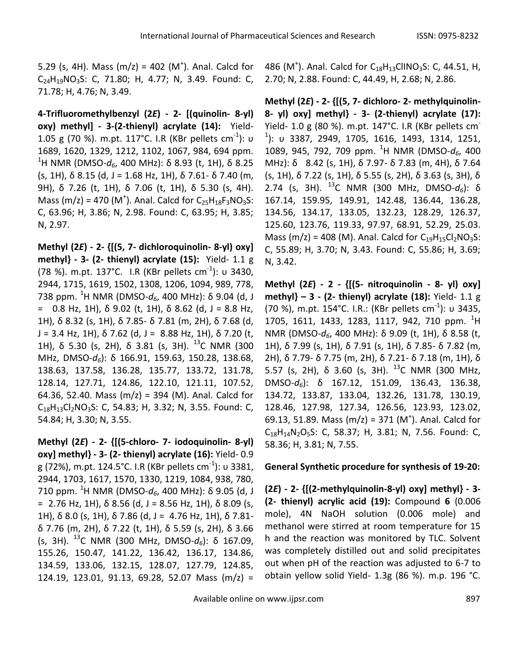5.29 (s, 4H). Mass  $(m/z) = 402$  (M<sup>+</sup>). Anal. Calcd for  $C_{24}H_{19}NO_3S$ : C, 71.80; H, 4.77; N, 3.49. Found: C, 71.78; H, 4.76; N, 3.49.

**4-Trifluoromethylbenzyl (2***E***) - 2- [(quinolin- 8-yl) oxy) methyl] - 3-(2-thienyl) acrylate (14):** Yield-1.05 g (70 %). m.pt. 117°C. I.R (KBr pellets cm<sup>-1</sup>): υ 1689, 1620, 1329, 1212, 1102, 1067, 984, 694 ppm. <sup>1</sup>H NMR (DMSO-*d6*, 400 MHz): δ 8.93 (t, 1H), δ 8.25 (s, 1H), δ 8.15 (d, J = 1.68 Hz, 1H), δ 7.61- δ 7.40 (m, 9H), δ 7.26 (t, 1H), δ 7.06 (t, 1H), δ 5.30 (s, 4H). Mass (m/z) = 470 (M<sup>+</sup>). Anal. Calcd for  $C_{25}H_{18}F_3NO_3S$ : C, 63.96; H, 3.86; N, 2.98. Found: C, 63.95; H, 3.85; N, 2.97.

**Methyl (2***E***) - 2- {[(5, 7- dichloroquinolin- 8-yl) oxy] methyl} - 3- (2- thienyl) acrylate (15):** Yield- 1.1 g (78 %). m.pt. 137°C. I.R (KBr pellets cm<sup>-1</sup>): υ 3430, 2944, 1715, 1619, 1502, 1308, 1206, 1094, 989, 778, 738 ppm. <sup>1</sup>H NMR (DMSO-*d6*, 400 MHz): δ 9.04 (d, J = 0.8 Hz, 1H),  $\delta$  9.02 (t, 1H),  $\delta$  8.62 (d, J = 8.8 Hz, 1H), δ 8.32 (s, 1H), δ 7.85- δ 7.81 (m, 2H), δ 7.68 (d, J = 3.4 Hz, 1H),  $\delta$  7.62 (d, J = 8.88 Hz, 1H),  $\delta$  7.20 (t, 1H), δ 5.30 (s, 2H), δ 3.81 (s, 3H). <sup>13</sup>C NMR (300 MHz, DMSO-*d6*): δ 166.91, 159.63, 150.28, 138.68, 138.63, 137.58, 136.28, 135.77, 133.72, 131.78, 128.14, 127.71, 124.86, 122.10, 121.11, 107.52, 64.36, 52.40. Mass (m/z) = 394 (M). Anal. Calcd for  $C_{18}H_{13}Cl_2NO_3S$ : C, 54.83; H, 3.32; N, 3.55. Found: C, 54.84; H, 3.30; N, 3.55.

**Methyl (2***E***) - 2- {[(5-chloro- 7- iodoquinolin- 8-yl) oxy] methyl} - 3- (2- thienyl) acrylate (16):** Yield- 0.9 g (72%), m.pt. 124.5°C. I.R (KBr pellets cm<sup>-1</sup>): υ 3381, 2944, 1703, 1617, 1570, 1330, 1219, 1084, 938, 780, 710 ppm. <sup>1</sup>H NMR (DMSO- $d_6$ , 400 MHz): δ 9.05 (d, J = 2.76 Hz, 1H),  $\delta$  8.56 (d, J = 8.56 Hz, 1H),  $\delta$  8.09 (s, 1H), δ 8.0 (s, 1H), δ 7.86 (d, J = 4.76 Hz, 1H), δ 7.81δ 7.76 (m, 2H), δ 7.22 (t, 1H), δ 5.59 (s, 2H), δ 3.66 (s, 3H). <sup>13</sup>C NMR (300 MHz, DMSO-*d6*): δ 167.09, 155.26, 150.47, 141.22, 136.42, 136.17, 134.86, 134.59, 133.06, 132.15, 128.07, 127.79, 124.85, 124.19, 123.01, 91.13, 69.28, 52.07 Mass (m/z) =

486 (M<sup>+</sup>). Anal. Calcd for  $C_{18}H_{13}$ ClINO<sub>3</sub>S: C, 44.51, H, 2.70; N, 2.88. Found: C, 44.49, H, 2.68; N, 2.86.

**Methyl (2***E***) - 2- {[(5, 7- dichloro- 2- methylquinolin-8- yl) oxy] methyl} - 3- (2-thienyl) acrylate (17):**  Yield- 1.0 g (80 %). m.pt. 147°C. I.R (KBr pellets cm-1 ): υ 3387, 2949, 1705, 1616, 1493, 1314, 1251, 1089, 945, 792, 709 ppm. <sup>1</sup>H NMR (DMSO-*d6*, 400 MHz): δ 8.42 (s, 1H), δ 7.97- δ 7.83 (m, 4H), δ 7.64 (s, 1H), δ 7.22 (s, 1H), δ 5.55 (s, 2H), δ 3.63 (s, 3H), δ 2.74 (s, 3H). <sup>13</sup>C NMR (300 MHz, DMSO-*d6*): δ 167.14, 159.95, 149.91, 142.48, 136.44, 136.28, 134.56, 134.17, 133.05, 132.23, 128.29, 126.37, 125.60, 123.76, 119.33, 97.97, 68.91, 52.29, 25.03. Mass (m/z) = 408 (M). Anal. Calcd for  $C_{19}H_{15}Cl_2NO_3S$ : C, 55.89; H, 3.70; N, 3.43. Found: C, 55.86; H, 3.69; N, 3.42.

**Methyl (2***E***) - 2 - {[(5- nitroquinolin - 8- yl) oxy] methyl} – 3 - (2- thienyl) acrylate (18):** Yield- 1.1 g (70 %), m.pt. 154°C. I.R.: (KBr pellets cm<sup>-1</sup>): υ 3435, 1705, 1611, 1433, 1283, 1117, 942, 710 ppm. <sup>1</sup>H NMR (DMSO-*d6*, 400 MHz): δ 9.09 (t, 1H), δ 8.58 (t, 1H), δ 7.99 (s, 1H), δ 7.91 (s, 1H), δ 7.85- δ 7.82 (m, 2H), δ 7.79- δ 7.75 (m, 2H), δ 7.21- δ 7.18 (m, 1H), δ 5.57 (s, 2H),  $\delta$  3.60 (s, 3H). <sup>13</sup>C NMR (300 MHz, DMSO-*d6*): δ 167.12, 151.09, 136.43, 136.38, 134.72, 133.87, 133.04, 132.26, 131.78, 130.19, 128.46, 127.98, 127.34, 126.56, 123.93, 123.02, 69.13, 51.89. Mass (m/z) = 371 (M<sup>+</sup>). Anal. Calcd for  $C_{18}H_{14}N_2O_5S$ : C, 58.37; H, 3.81; N, 7.56. Found: C, 58.36; H, 3.81; N, 7.55.

# **General Synthetic procedure for synthesis of 19-20:**

**(2***E***) - 2- {[(2-methylquinolin-8-yl) oxy] methyl} - 3- (2- thienyl) acrylic acid (19):** Compound **6** (0.006 mole), 4N NaOH solution (0.006 mole) and methanol were stirred at room temperature for 15 h and the reaction was monitored by TLC. Solvent was completely distilled out and solid precipitates out when pH of the reaction was adjusted to 6-7 to obtain yellow solid Yield- 1.3g (86 %). m.p. 196 °C.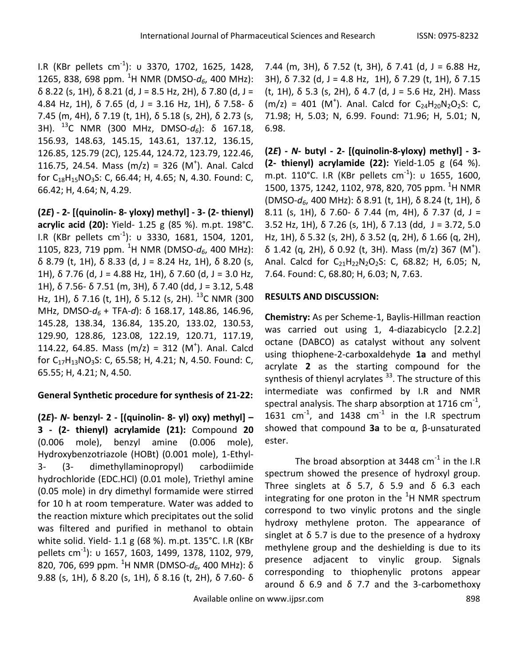I.R (KBr pellets cm<sup>-1</sup>): υ 3370, 1702, 1625, 1428, 1265, 838, 698 ppm. <sup>1</sup>H NMR (DMSO- $d_6$ , 400 MHz): δ 8.22 (s, 1H), δ 8.21 (d, J = 8.5 Hz, 2H), δ 7.80 (d, J = 4.84 Hz, 1H), δ 7.65 (d, J = 3.16 Hz, 1H), δ 7.58- δ 7.45 (m, 4H), δ 7.19 (t, 1H), δ 5.18 (s, 2H), δ 2.73 (s, 3H). <sup>13</sup>C NMR (300 MHz, DMSO-*d6*): δ 167.18, 156.93, 148.63, 145.15, 143.61, 137.12, 136.15, 126.85, 125.79 (2C), 125.44, 124.72, 123.79, 122.46, 116.75, 24.54. Mass  $(m/z) = 326 (M<sup>+</sup>)$ . Anal. Calcd for  $C_{18}H_{15}NO_3S$ : C, 66.44; H, 4.65; N, 4.30. Found: C, 66.42; H, 4.64; N, 4.29.

**(2***E***) - 2- [(quinolin- 8- yloxy) methyl] - 3- (2- thienyl) acrylic acid (20):** Yield- 1.25 g (85 %). m.pt. 198°C. I.R (KBr pellets cm<sup>-1</sup>): υ 3330, 1681, 1504, 1201, 1105, 823, 719 ppm. <sup>1</sup>H NMR (DMSO- $d_6$ , 400 MHz): δ 8.79 (t, 1H), δ 8.33 (d, J = 8.24 Hz, 1H), δ 8.20 (s, 1H),  $\delta$  7.76 (d, J = 4.88 Hz, 1H),  $\delta$  7.60 (d, J = 3.0 Hz, 1H), δ 7.56- δ 7.51 (m, 3H), δ 7.40 (dd, J = 3.12, 5.48 Hz, 1H), δ 7.16 (t, 1H), δ 5.12 (s, 2H). <sup>13</sup>C NMR (300 MHz, DMSO-*d6* + TFA-*d*): δ 168.17, 148.86, 146.96, 145.28, 138.34, 136.84, 135.20, 133.02, 130.53, 129.90, 128.86, 123.08, 122.19, 120.71, 117.19, 114.22, 64.85. Mass  $(m/z) = 312 (M<sup>+</sup>)$ . Anal. Calcd for C<sub>17</sub>H<sub>13</sub>NO<sub>3</sub>S: C, 65.58; H, 4.21; N, 4.50. Found: C, 65.55; H, 4.21; N, 4.50.

# **General Synthetic procedure for synthesis of 21-22:**

**(2***E***)-** *N***- benzyl- 2 - [(quinolin- 8- yl) oxy) methyl] – 3 - (2- thienyl) acrylamide (21):** Compound **20** (0.006 mole), benzyl amine (0.006 mole), Hydroxybenzotriazole (HOBt) (0.001 mole), 1-Ethyl-3- (3- dimethyllaminopropyl) carbodiimide hydrochloride (EDC.HCl) (0.01 mole), Triethyl amine (0.05 mole) in dry dimethyl formamide were stirred for 10 h at room temperature. Water was added to the reaction mixture which precipitates out the solid was filtered and purified in methanol to obtain white solid. Yield- 1.1 g (68 %). m.pt. 135°C. I.R (KBr pellets cm-1 ): υ 1657, 1603, 1499, 1378, 1102, 979, 820, 706, 699 ppm. <sup>1</sup>H NMR (DMSO-*d6*, 400 MHz): δ 9.88 (s, 1H), δ 8.20 (s, 1H), δ 8.16 (t, 2H), δ 7.60- δ

7.44 (m, 3H), δ 7.52 (t, 3H), δ 7.41 (d, J = 6.88 Hz, 3H), δ 7.32 (d, J = 4.8 Hz, 1H), δ 7.29 (t, 1H), δ 7.15 (t, 1H), δ 5.3 (s, 2H), δ 4.7 (d, J = 5.6 Hz, 2H). Mass  $(m/z) = 401$  (M<sup>+</sup>). Anal. Calcd for C<sub>24</sub>H<sub>20</sub>N<sub>2</sub>O<sub>2</sub>S: C, 71.98; H, 5.03; N, 6.99. Found: 71.96; H, 5.01; N, 6.98.

**(2***E***) -** *N***- butyl - 2- [(quinolin-8-yloxy) methyl] - 3- (2- thienyl) acrylamide (22):** Yield-1.05 g (64 %). m.pt. 110°C. I.R (KBr pellets cm $^{-1}$ ): υ 1655, 1600, 1500, 1375, 1242, 1102, 978, 820, 705 ppm. <sup>1</sup>H NMR (DMSO-*d6*, 400 MHz): δ 8.91 (t, 1H), δ 8.24 (t, 1H), δ 8.11 (s, 1H), δ 7.60- δ 7.44 (m, 4H), δ 7.37 (d, J = 3.52 Hz, 1H), δ 7.26 (s, 1H), δ 7.13 (dd, J = 3.72, 5.0 Hz, 1H), δ 5.32 (s, 2H), δ 3.52 (q, 2H), δ 1.66 (q, 2H), δ 1.42 (q, 2H), δ 0.92 (t, 3H). Mass (m/z) 367 (M<sup>+</sup>). Anal. Calcd for  $C_{21}H_{22}N_2O_2S$ : C, 68.82; H, 6.05; N, 7.64. Found: C, 68.80; H, 6.03; N, 7.63.

### **RESULTS AND DISCUSSION:**

**Chemistry:** As per Scheme-1, Baylis-Hillman reaction was carried out using 1, 4-diazabicyclo [2.2.2] octane (DABCO) as catalyst without any solvent using thiophene-2-carboxaldehyde **1a** and methyl acrylate **2** as the starting compound for the synthesis of thienyl acrylates<sup>33</sup>. The structure of this intermediate was confirmed by I.R and NMR spectral analysis. The sharp absorption at 1716 cm $^{-1}$ , 1631 cm $^{-1}$ , and 1438 cm $^{-1}$  in the I.R spectrum showed that compound **3a** to be α, β-unsaturated ester.

The broad absorption at 3448 cm<sup>-1</sup> in the I.R spectrum showed the presence of hydroxyl group. Three singlets at  $\delta$  5.7,  $\delta$  5.9 and  $\delta$  6.3 each integrating for one proton in the  ${}^{1}$ H NMR spectrum correspond to two vinylic protons and the single hydroxy methylene proton. The appearance of singlet at  $\delta$  5.7 is due to the presence of a hydroxy methylene group and the deshielding is due to its presence adjacent to vinylic group. Signals corresponding to thiophenylic protons appear around  $\delta$  6.9 and  $\delta$  7.7 and the 3-carbomethoxy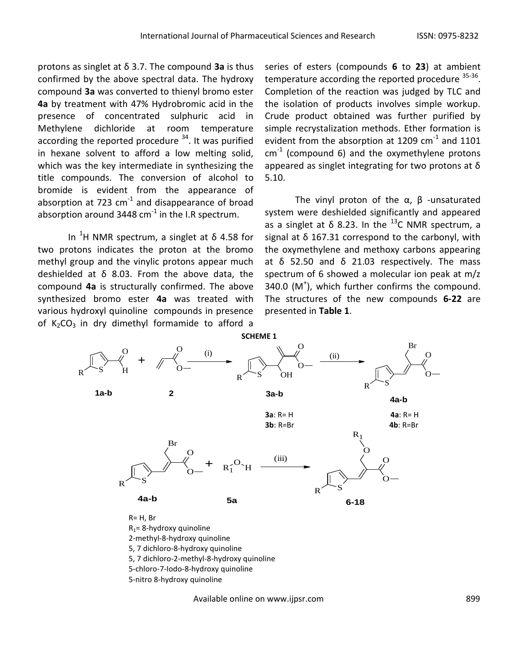protons as singlet at δ 3.7. The compound **3a** is thus confirmed by the above spectral data. The hydroxy compound **3a** was converted to thienyl bromo ester **4a** by treatment with 47% Hydrobromic acid in the presence of concentrated sulphuric acid in Methylene dichloride at room temperature according the reported procedure  $34$ . It was purified in hexane solvent to afford a low melting solid, which was the key intermediate in synthesizing the title compounds. The conversion of alcohol to bromide is evident from the appearance of absorption at 723  $cm^{-1}$  and disappearance of broad absorption around 3448 cm $^{-1}$  in the I.R spectrum.

In <sup>1</sup>H NMR spectrum, a singlet at δ 4.58 for two protons indicates the proton at the bromo methyl group and the vinylic protons appear much deshielded at  $\delta$  8.03. From the above data, the compound **4a** is structurally confirmed. The above synthesized bromo ester **4a** was treated with various hydroxyl quinoline compounds in presence of  $K_2CO_3$  in dry dimethyl formamide to afford a

series of esters (compounds **6** to **23**) at ambient temperature according the reported procedure <sup>35-36</sup>. Completion of the reaction was judged by TLC and the isolation of products involves simple workup. Crude product obtained was further purified by simple recrystalization methods. Ether formation is evident from the absorption at 1209  $\text{cm}^{-1}$  and 1101  $cm^{-1}$  (compound 6) and the oxymethylene protons appeared as singlet integrating for two protons at δ 5.10.

The vinyl proton of the  $\alpha$ ,  $\beta$  -unsaturated system were deshielded significantly and appeared as a singlet at  $\delta$  8.23. In the <sup>13</sup>C NMR spectrum, a signal at δ 167.31 correspond to the carbonyl, with the oxymethylene and methoxy carbons appearing at  $δ$  52.50 and  $δ$  21.03 respectively. The mass spectrum of 6 showed a molecular ion peak at m/z  $340.0$  (M<sup>+</sup>), which further confirms the compound. The structures of the new compounds **6-22** are presented in **Table 1**.



Available online on www.ijpsr.com 899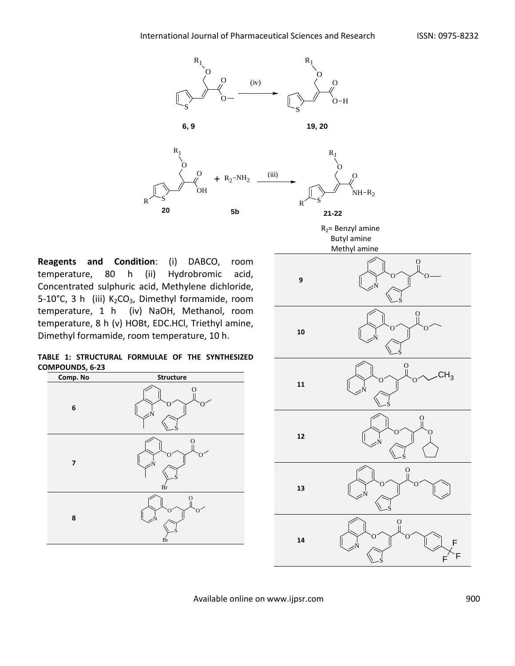

**Reagents and Condition**: (i) DABCO, room temperature, 80 h (ii) Hydrobromic acid, Concentrated sulphuric acid, Methylene dichloride, 5-10°C, 3 h (iii)  $K_2CO_3$ , Dimethyl formamide, room temperature, 1 h (iv) NaOH, Methanol, room temperature, 8 h (v) HOBt, EDC.HCl, Triethyl amine, Dimethyl formamide, room temperature, 10 h.

**TABLE 1: STRUCTURAL FORMULAE OF THE SYNTHESIZED COMPOUNDS, 6-23**





Available online on www.ijpsr.com 900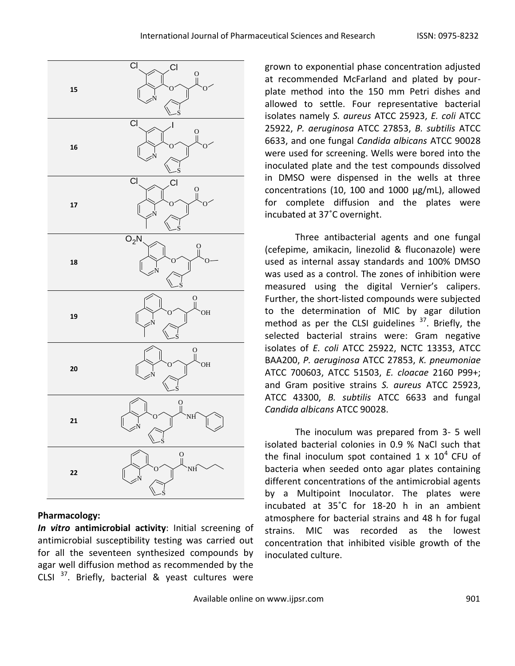

### **Pharmacology:**

*In vitro* **antimicrobial activity**: Initial screening of antimicrobial susceptibility testing was carried out for all the seventeen synthesized compounds by agar well diffusion method as recommended by the CLSI  $37$ . Briefly, bacterial & yeast cultures were grown to exponential phase concentration adjusted at recommended McFarland and plated by pourplate method into the 150 mm Petri dishes and allowed to settle. Four representative bacterial isolates namely *S. aureus* ATCC 25923, *E. coli* ATCC 25922, *P. aeruginosa* ATCC 27853, *B. subtilis* ATCC 6633, and one fungal *Candida albicans* ATCC 90028 were used for screening. Wells were bored into the inoculated plate and the test compounds dissolved in DMSO were dispensed in the wells at three concentrations (10, 100 and 1000 μg/mL), allowed for complete diffusion and the plates were incubated at 37˚C overnight.

Three antibacterial agents and one fungal (cefepime, amikacin, linezolid & fluconazole) were used as internal assay standards and 100% DMSO was used as a control. The zones of inhibition were measured using the digital Vernier's calipers. Further, the short-listed compounds were subjected to the determination of MIC by agar dilution method as per the CLSI guidelines  $37$ . Briefly, the selected bacterial strains were: Gram negative isolates of *E. coli* ATCC 25922, NCTC 13353, ATCC BAA200, *P. aeruginosa* ATCC 27853, *K. pneumoniae* ATCC 700603, ATCC 51503, *E. cloacae* 2160 P99+; and Gram positive strains *S. aureus* ATCC 25923, ATCC 43300, *B. subtilis* ATCC 6633 and fungal *Candida albicans* ATCC 90028.

The inoculum was prepared from 3- 5 well isolated bacterial colonies in 0.9 % NaCl such that the final inoculum spot contained 1 x  $10^4$  CFU of bacteria when seeded onto agar plates containing different concentrations of the antimicrobial agents by a Multipoint Inoculator. The plates were incubated at 35˚C for 18-20 h in an ambient atmosphere for bacterial strains and 48 h for fugal strains. MIC was recorded as the lowest concentration that inhibited visible growth of the inoculated culture.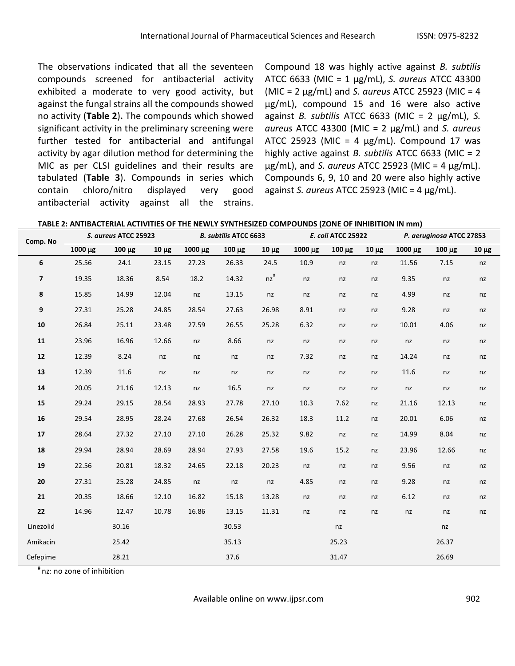The observations indicated that all the seventeen compounds screened for antibacterial activity exhibited a moderate to very good activity, but against the fungal strains all the compounds showed no activity (**Table 2**)**.** The compounds which showed significant activity in the preliminary screening were further tested for antibacterial and antifungal activity by agar dilution method for determining the MIC as per CLSI guidelines and their results are tabulated (**Table 3**). Compounds in series which contain chloro/nitro displayed very good antibacterial activity against all the strains. Compound 18 was highly active against *B. subtilis* ATCC 6633 (MIC = 1 μg/mL), *S. aureus* ATCC 43300 (MIC = 2 μg/mL) and *S. aureus* ATCC 25923 (MIC = 4 μg/mL), compound 15 and 16 were also active against *B. subtilis* ATCC 6633 (MIC = 2 μg/mL), *S. aureus* ATCC 43300 (MIC = 2 μg/mL) and *S. aureus* ATCC 25923 (MIC = 4  $\mu$ g/mL). Compound 17 was highly active against *B. subtilis* ATCC 6633 (MIC = 2 μg/mL), and *S. aureus* ATCC 25923 (MIC = 4 μg/mL). Compounds 6, 9, 10 and 20 were also highly active against *S. aureus* ATCC 25923 (MIC = 4 μg/mL).

**TABLE 2: ANTIBACTERIAL ACTIVITIES OF THE NEWLY SYNTHESIZED COMPOUNDS (ZONE OF INHIBITION IN mm)**

| Comp. No       |         | S. aureus ATCC 25923 |            |         | <b>B. subtilis ATCC 6633</b> |                  |          | E. coli ATCC 25922 |            |         | P. aeruginosa ATCC 27853 |            |
|----------------|---------|----------------------|------------|---------|------------------------------|------------------|----------|--------------------|------------|---------|--------------------------|------------|
|                | 1000 µg | $100 \mu g$          | $10 \mu g$ | 1000 µg | $100 \mu g$                  | $10 \mu g$       | 1000 µg  | $100 \mu g$        | $10 \mu g$ | 1000 µg | $100 \mu g$              | $10 \mu g$ |
| 6              | 25.56   | 24.1                 | 23.15      | 27.23   | 26.33                        | 24.5             | 10.9     | nz                 | nz         | 11.56   | 7.15                     | nz         |
| $\overline{7}$ | 19.35   | 18.36                | 8.54       | 18.2    | 14.32                        | $nz^{\text{\#}}$ | nz       | nz                 | nz         | 9.35    | nz                       | nz         |
| 8              | 15.85   | 14.99                | 12.04      | nz      | 13.15                        | nz               | nz       | nz                 | nz         | 4.99    | nz                       | nz         |
| 9              | 27.31   | 25.28                | 24.85      | 28.54   | 27.63                        | 26.98            | 8.91     | nz                 | nz         | 9.28    | nz                       | nz         |
| 10             | 26.84   | 25.11                | 23.48      | 27.59   | 26.55                        | 25.28            | 6.32     | nz                 | nz         | 10.01   | 4.06                     | nz         |
| 11             | 23.96   | 16.96                | 12.66      | nz      | 8.66                         | nz               | nz       | nz                 | nz         | nz      | nz                       | nz         |
| 12             | 12.39   | 8.24                 | nz         | nz      | nz                           | nz               | 7.32     | nz                 | nz         | 14.24   | nz                       | nz         |
| 13             | 12.39   | 11.6                 | nz         | nz      | nz                           | nz               | $\sf nz$ | nz                 | nz         | 11.6    | nz                       | nz         |
| 14             | 20.05   | 21.16                | 12.13      | nz      | 16.5                         | nz               | nz       | nz                 | nz         | nz      | nz                       | nz         |
| 15             | 29.24   | 29.15                | 28.54      | 28.93   | 27.78                        | 27.10            | 10.3     | 7.62               | nz         | 21.16   | 12.13                    | nz         |
| 16             | 29.54   | 28.95                | 28.24      | 27.68   | 26.54                        | 26.32            | 18.3     | 11.2               | nz         | 20.01   | 6.06                     | nz         |
| 17             | 28.64   | 27.32                | 27.10      | 27.10   | 26.28                        | 25.32            | 9.82     | nz                 | nz         | 14.99   | 8.04                     | nz         |
| 18             | 29.94   | 28.94                | 28.69      | 28.94   | 27.93                        | 27.58            | 19.6     | 15.2               | nz         | 23.96   | 12.66                    | nz         |
| 19             | 22.56   | 20.81                | 18.32      | 24.65   | 22.18                        | 20.23            | nz       | nz                 | nz         | 9.56    | nz                       | nz         |
| 20             | 27.31   | 25.28                | 24.85      | nz      | nz                           | nz               | 4.85     | nz                 | nz         | 9.28    | nz                       | nz         |
| 21             | 20.35   | 18.66                | 12.10      | 16.82   | 15.18                        | 13.28            | nz       | nz                 | nz         | 6.12    | nz                       | nz         |
| 22             | 14.96   | 12.47                | 10.78      | 16.86   | 13.15                        | 11.31            | nz       | nz                 | nz         | nz      | nz                       | nz         |
| Linezolid      |         | 30.16                |            |         | 30.53                        |                  |          | nz                 |            |         | nz                       |            |
| Amikacin       |         | 25.42                |            |         | 35.13                        |                  |          | 25.23              |            |         | 26.37                    |            |
| Cefepime       |         | 28.21                |            |         | 37.6                         |                  |          | 31.47              |            |         | 26.69                    |            |

# nz: no zone of inhibition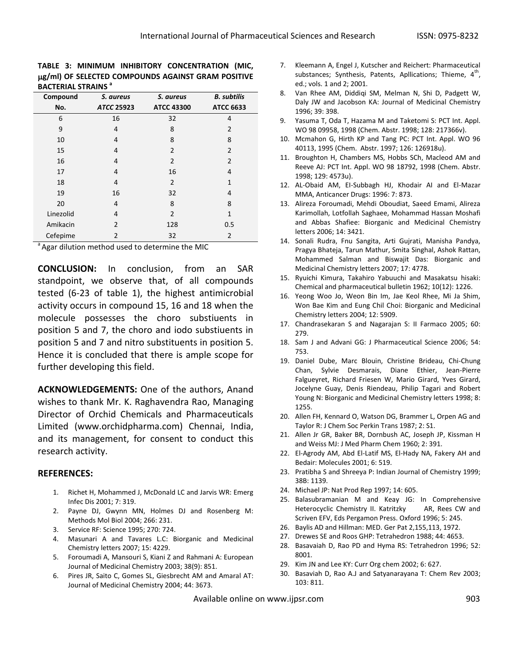#### **TABLE 3: MINIMUM INHIBITORY CONCENTRATION (MIC, g/ml) OF SELECTED COMPOUNDS AGAINST GRAM POSITIVE BACTERIAL STRAINS <sup>a</sup>**

| Compound  | S. aureus      | S. aureus         | <b>B.</b> subtilis |  |  |
|-----------|----------------|-------------------|--------------------|--|--|
| No.       | ATCC 25923     | <b>ATCC 43300</b> | <b>ATCC 6633</b>   |  |  |
| 6         | 16             | 32                | 4                  |  |  |
| 9         | 4              | 8                 | $\overline{2}$     |  |  |
| 10        | 4              | 8                 | 8                  |  |  |
| 15        | 4              | $\overline{2}$    | $\overline{2}$     |  |  |
| 16        | 4              | $\overline{2}$    | $\overline{2}$     |  |  |
| 17        | 4              | 16                | 4                  |  |  |
| 18        | 4              | $\overline{2}$    | $\mathbf{1}$       |  |  |
| 19        | 16             | 32                | 4                  |  |  |
| 20        | 4              | 8                 | 8                  |  |  |
| Linezolid | 4              | $\overline{2}$    | $\mathbf{1}$       |  |  |
| Amikacin  | $\overline{2}$ | 128               | 0.5                |  |  |
| Cefepime  | $\overline{2}$ | 32                | 2                  |  |  |

Agar dilution method used to determine the MIC

**CONCLUSION:** In conclusion, from an SAR standpoint, we observe that, of all compounds tested (6-23 of table 1), the highest antimicrobial activity occurs in compound 15, 16 and 18 when the molecule possesses the choro substiuents in position 5 and 7, the choro and iodo substiuents in position 5 and 7 and nitro substituents in position 5. Hence it is concluded that there is ample scope for further developing this field.

**ACKNOWLEDGEMENTS:** One of the authors, Anand wishes to thank Mr. K. Raghavendra Rao, Managing Director of Orchid Chemicals and Pharmaceuticals Limited (www.orchidpharma.com) Chennai, India, and its management, for consent to conduct this research activity.

#### **REFERENCES:**

- 1. Richet H, Mohammed J, McDonald LC and Jarvis WR: Emerg Infec Dis 2001; 7: 319.
- 2. Payne DJ, Gwynn MN, Holmes DJ and Rosenberg M: Methods Mol Biol 2004; 266: 231.
- 3. Service RF: Science 1995; 270: 724.
- 4. Masunari A and Tavares L.C: Biorganic and Medicinal Chemistry letters 2007; 15: 4229.
- 5. Foroumadi A, Mansouri S, Kiani Z and Rahmani A: European Journal of Medicinal Chemistry 2003; 38(9): 851.
- 6. Pires JR, Saito C, Gomes SL, Giesbrecht AM and Amaral AT: Journal of Medicinal Chemistry 2004; 44: 3673.
- 7. Kleemann A, Engel J, Kutscher and Reichert: Pharmaceutical substances; Synthesis, Patents, Apllications; Thieme,  $4^{\text{th}}$ , ed.; vols. 1 and 2; 2001.
- 8. Van Rhee AM, Diddiqi SM, Melman N, Shi D, Padgett W, Daly JW and Jacobson KA: Journal of Medicinal Chemistry 1996; 39: 398.
- 9. Yasuma T, Oda T, Hazama M and Taketomi S: PCT Int. Appl. WO 98 09958, 1998 (Chem. Abstr. 1998; 128: 217366v).
- 10. Mcmahon G, Hirth KP and Tang PC: PCT Int. Appl. WO 96 40113, 1995 (Chem. Abstr. 1997; 126: 126918u).
- 11. Broughton H, Chambers MS, Hobbs SCh, Macleod AM and Reeve AJ: PCT Int. Appl. WO 98 18792, 1998 (Chem. Abstr. 1998; 129: 4573u).
- 12. AL-Obaid AM, EI-Subbagh HJ, Khodair AI and El-Mazar MMA, Anticancer Drugs: 1996: 7: 873.
- 13. Alireza Foroumadi, Mehdi Oboudiat, Saeed Emami, Alireza Karimollah, Lotfollah Saghaee, Mohammad Hassan Moshafi and Abbas Shafiee: Biorganic and Medicinal Chemistry letters 2006; 14: 3421.
- 14. Sonali Rudra, Fnu Sangita, Arti Gujrati, Manisha Pandya, Pragya Bhateja, Tarun Mathur, Smita Singhal, Ashok Rattan, Mohammed Salman and Biswajit Das: Biorganic and Medicinal Chemistry letters 2007; 17: 4778.
- 15. Ryuichi Kimura, Takahiro Yabuuchi and Masakatsu hisaki: Chemical and pharmaceutical bulletin 1962; 10(12): 1226.
- 16. Yeong Woo Jo, Weon Bin Im, Jae Keol Rhee, Mi Ja Shim, Won Bae Kim and Eung Chil Choi: Biorganic and Medicinal Chemistry letters 2004; 12: 5909.
- 17. Chandrasekaran S and Nagarajan S: II Farmaco 2005; 60: 279.
- 18. Sam J and Advani GG: J Pharmaceutical Science 2006; 54: 753.
- 19. Daniel Dube, Marc Blouin, Christine Brideau, Chi-Chung Chan, Sylvie Desmarais, Diane Ethier, Jean-Pierre Falgueyret, Richard Friesen W, Mario Girard, Yves Girard, Jocelyne Guay, Denis Riendeau, Philip Tagari and Robert Young N: Biorganic and Medicinal Chemistry letters 1998; 8: 1255.
- 20. Allen FH, Kennard O, Watson DG, Brammer L, Orpen AG and Taylor R: J Chem Soc Perkin Trans 1987; 2: S1.
- 21. Allen Jr GR, Baker BR, Dornbush AC, Joseph JP, Kissman H and Weiss MJ: J Med Pharm Chem 1960; 2: 391.
- 22. El-Agrody AM, Abd El-Latif MS, El-Hady NA, Fakery AH and Bedair: Molecules 2001; 6: 519.
- 23. Pratibha S and Shreeya P: Indian Journal of Chemistry 1999; 38B: 1139.
- 24. Michael JP: Nat Prod Rep 1997; 14: 605.
- 25. Balasubramanian M and Keay JG: In Comprehensive Heterocyclic Chemistry II. Katritzky AR, Rees CW and Scriven EFV, Eds Pergamon Press. Oxford 1996; 5: 245.
- 26. Baylis AD and Hillman: MED. Ger Pat 2,155,113, 1972.
- 27. Drewes SE and Roos GHP: Tetrahedron 1988; 44: 4653.
- 28. Basavaiah D, Rao PD and Hyma RS: Tetrahedron 1996; 52: 8001.
- 29. Kim JN and Lee KY: Curr Org chem 2002; 6: 627.
- 30. Basaviah D, Rao A.J and Satyanarayana T: Chem Rev 2003; 103: 811.

Available online on www.ijpsr.com 903